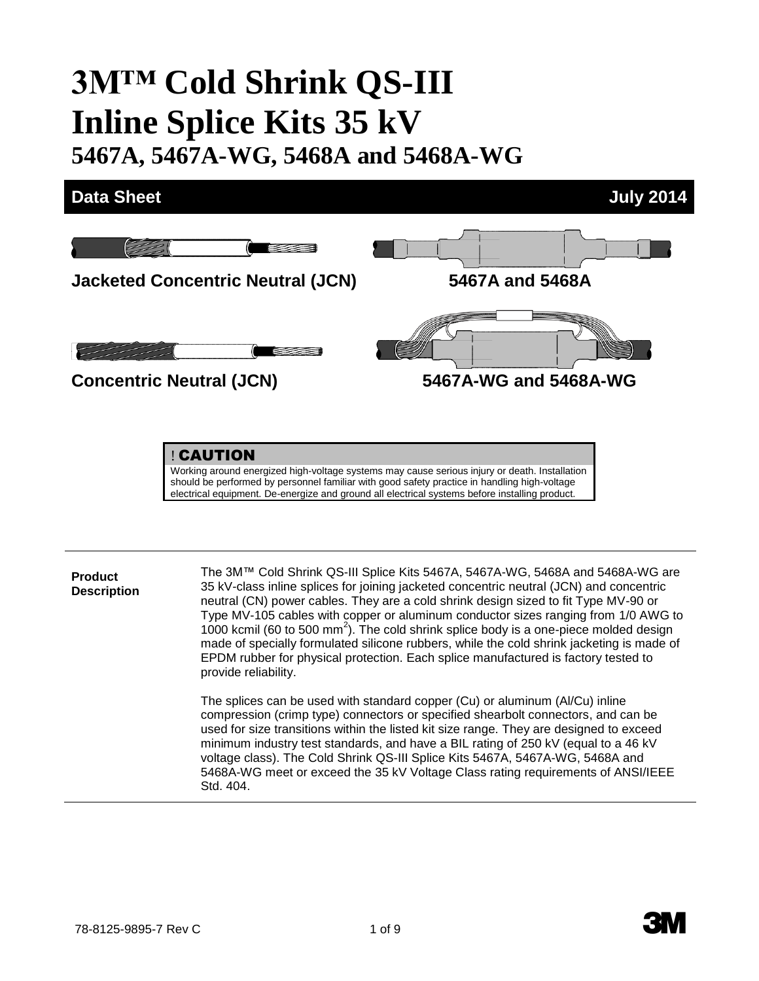# **3M™ Cold Shrink QS-III Inline Splice Kits 35 kV**

**5467A, 5467A-WG, 5468A and 5468A-WG**



! CAUTION

Working around energized high-voltage systems may cause serious injury or death. Installation should be performed by personnel familiar with good safety practice in handling high-voltage electrical equipment. De-energize and ground all electrical systems before installing product.

**Product Description** The 3M™ Cold Shrink QS-III Splice Kits 5467A, 5467A-WG, 5468A and 5468A-WG are 35 kV-class inline splices for joining jacketed concentric neutral (JCN) and concentric neutral (CN) power cables. They are a cold shrink design sized to fit Type MV-90 or Type MV-105 cables with copper or aluminum conductor sizes ranging from 1/0 AWG to  $1000$  kcmil (60 to 500 mm<sup>2</sup>). The cold shrink splice body is a one-piece molded design made of specially formulated silicone rubbers, while the cold shrink jacketing is made of EPDM rubber for physical protection. Each splice manufactured is factory tested to provide reliability.

The splices can be used with standard copper (Cu) or aluminum (Al/Cu) inline compression (crimp type) connectors or specified shearbolt connectors, and can be used for size transitions within the listed kit size range. They are designed to exceed minimum industry test standards, and have a BIL rating of 250 kV (equal to a 46 kV voltage class). The Cold Shrink QS-III Splice Kits 5467A, 5467A-WG, 5468A and 5468A-WG meet or exceed the 35 kV Voltage Class rating requirements of ANSI/IEEE Std. 404.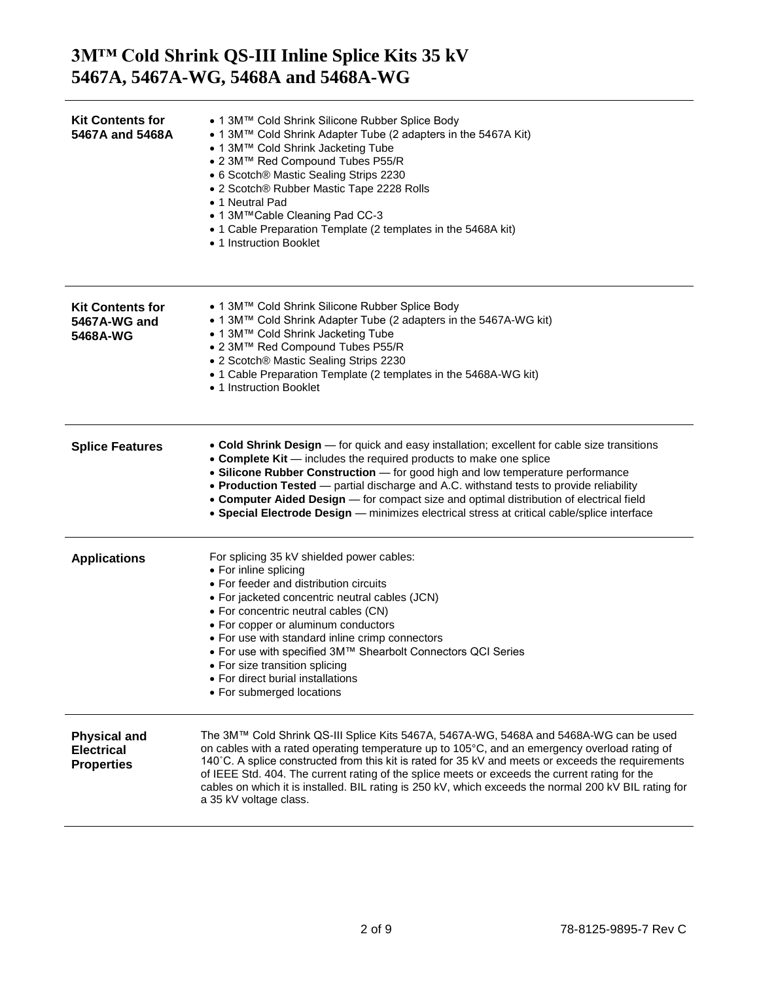| <b>Kit Contents for</b><br>5467A and 5468A                    | • 1 3M™ Cold Shrink Silicone Rubber Splice Body<br>• 1 3M™ Cold Shrink Adapter Tube (2 adapters in the 5467A Kit)<br>• 1 3M™ Cold Shrink Jacketing Tube<br>• 2 3M™ Red Compound Tubes P55/R<br>• 6 Scotch® Mastic Sealing Strips 2230<br>• 2 Scotch® Rubber Mastic Tape 2228 Rolls<br>• 1 Neutral Pad<br>• 1 3M™Cable Cleaning Pad CC-3<br>• 1 Cable Preparation Template (2 templates in the 5468A kit)<br>• 1 Instruction Booklet                                                                                                       |
|---------------------------------------------------------------|-------------------------------------------------------------------------------------------------------------------------------------------------------------------------------------------------------------------------------------------------------------------------------------------------------------------------------------------------------------------------------------------------------------------------------------------------------------------------------------------------------------------------------------------|
| <b>Kit Contents for</b><br>5467A-WG and<br>5468A-WG           | • 1 3M™ Cold Shrink Silicone Rubber Splice Body<br>• 1 3M™ Cold Shrink Adapter Tube (2 adapters in the 5467A-WG kit)<br>• 1 3M™ Cold Shrink Jacketing Tube<br>• 2 3M™ Red Compound Tubes P55/R<br>• 2 Scotch® Mastic Sealing Strips 2230<br>• 1 Cable Preparation Template (2 templates in the 5468A-WG kit)<br>• 1 Instruction Booklet                                                                                                                                                                                                   |
| <b>Splice Features</b>                                        | • Cold Shrink Design — for quick and easy installation; excellent for cable size transitions<br>• Complete Kit - includes the required products to make one splice<br>• Silicone Rubber Construction - for good high and low temperature performance<br>• Production Tested - partial discharge and A.C. withstand tests to provide reliability<br>• Computer Aided Design - for compact size and optimal distribution of electrical field<br>• Special Electrode Design - minimizes electrical stress at critical cable/splice interface |
| <b>Applications</b>                                           | For splicing 35 kV shielded power cables:<br>• For inline splicing<br>• For feeder and distribution circuits<br>• For jacketed concentric neutral cables (JCN)<br>• For concentric neutral cables (CN)<br>• For copper or aluminum conductors<br>• For use with standard inline crimp connectors<br>• For use with specified 3M™ Shearbolt Connectors QCI Series<br>▶ For size transition splicing<br>• For direct burial installations<br>• For submerged locations                                                                      |
| <b>Physical and</b><br><b>Electrical</b><br><b>Properties</b> | The 3M™ Cold Shrink QS-III Splice Kits 5467A, 5467A-WG, 5468A and 5468A-WG can be used<br>on cables with a rated operating temperature up to 105°C, and an emergency overload rating of<br>140°C. A splice constructed from this kit is rated for 35 kV and meets or exceeds the requirements<br>of IEEE Std. 404. The current rating of the splice meets or exceeds the current rating for the<br>cables on which it is installed. BIL rating is 250 kV, which exceeds the normal 200 kV BIL rating for<br>a 35 kV voltage class.        |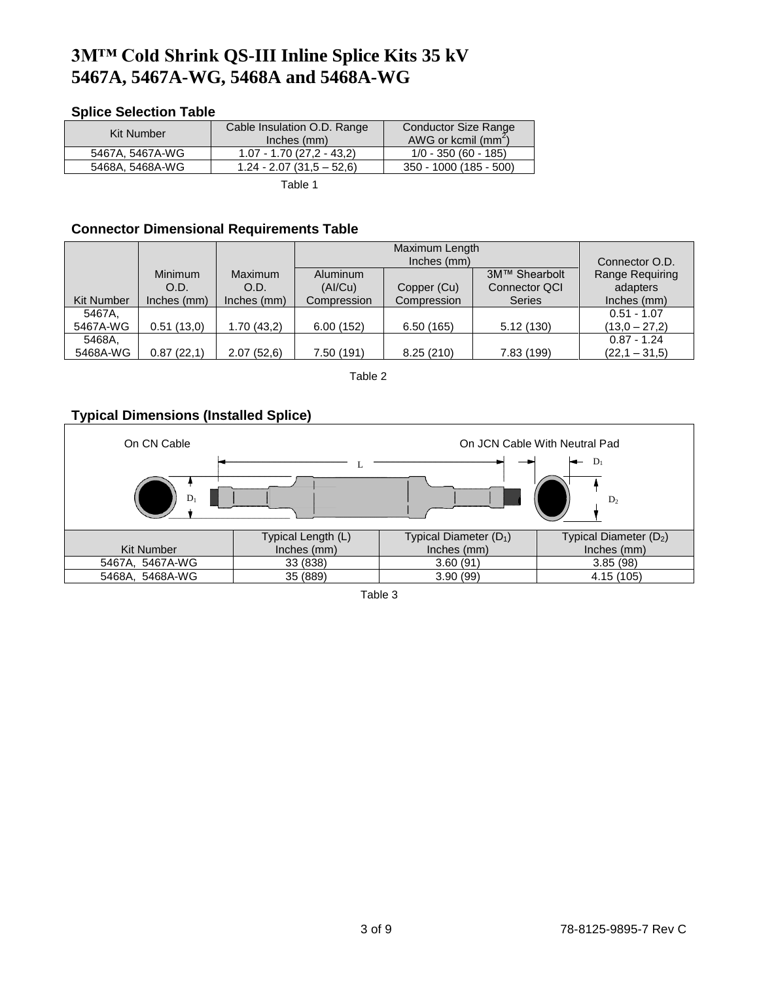#### **Splice Selection Table**

| Kit Number      | Cable Insulation O.D. Range | Conductor Size Range   |
|-----------------|-----------------------------|------------------------|
|                 | Inches (mm)                 | AWG or kcmil $(mm^2)$  |
| 5467A. 5467A-WG | $1.07 - 1.70(27,2 - 43,2)$  | $1/0 - 350(60 - 185)$  |
| 5468A. 5468A-WG | $1.24 - 2.07(31.5 - 52.6)$  | 350 - 1000 (185 - 500) |
|                 |                             |                        |

Table 1

#### **Connector Dimensional Requirements Table**

|                   |             |             | Maximum Length |             |                      |                 |
|-------------------|-------------|-------------|----------------|-------------|----------------------|-----------------|
|                   |             |             |                | Inches (mm) |                      | Connector O.D.  |
|                   | Minimum     | Maximum     | Aluminum       |             | 3M™ Shearbolt        | Range Requiring |
|                   | O.D.        | O.D.        | (AI/Cu)        | Copper (Cu) | <b>Connector QCI</b> | adapters        |
| <b>Kit Number</b> | Inches (mm) | Inches (mm) | Compression    | Compression | <b>Series</b>        | Inches (mm)     |
| 5467A.            |             |             |                |             |                      | $0.51 - 1.07$   |
| 5467A-WG          | 0.51(13.0)  | 1.70(43,2)  | 6.00(152)      | 6.50(165)   | 5.12(130)            | $(13.0 - 27.2)$ |
| 5468A.            |             |             |                |             |                      | $0.87 - 1.24$   |
| 5468A-WG          | 0.87(22,1)  | 2.07 (52,6) | 7.50 (191)     | 8.25(210)   | 7.83 (199)           | $(22,1 - 31,5)$ |

Table 2

#### **Typical Dimensions (Installed Splice)**



Table 3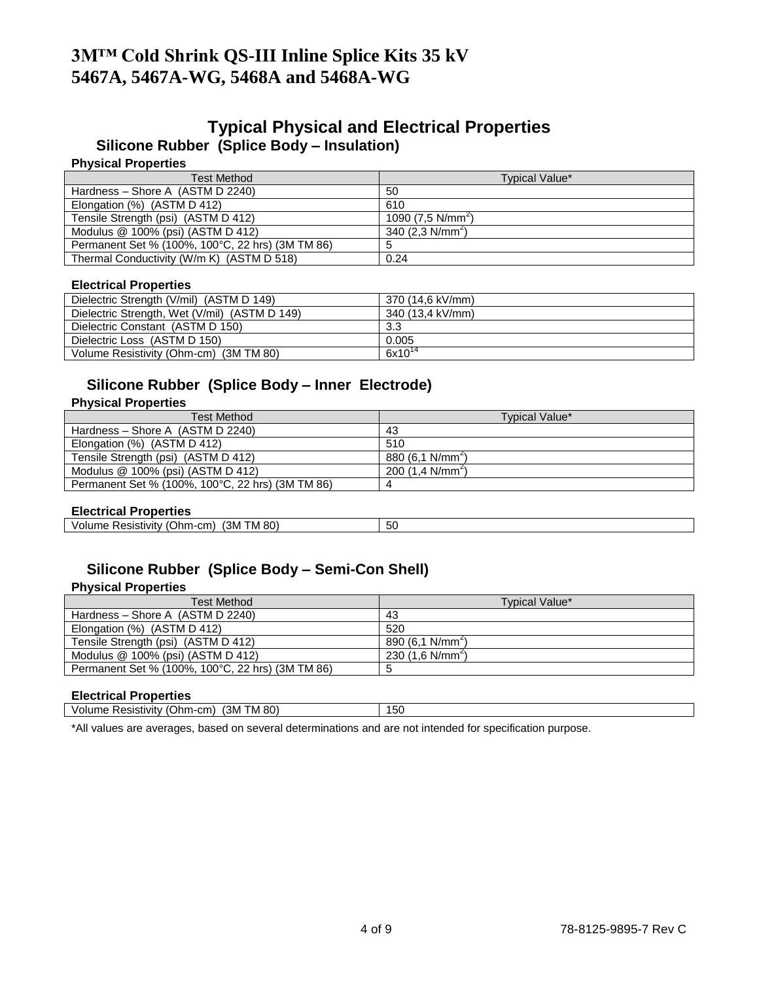### **Typical Physical and Electrical Properties Silicone Rubber (Splice Body – Insulation)**

#### **Physical Properties**

| <b>Test Method</b>                               | Typical Value*     |
|--------------------------------------------------|--------------------|
| Hardness - Shore A (ASTM D 2240)                 | 50                 |
| Elongation (%) (ASTM D 412)                      | 610                |
| Tensile Strength (psi) (ASTM D 412)              | 1090 $(7.5 N/mm2)$ |
| Modulus $@$ 100% (psi) (ASTM D 412)              | 340 $(2.3 N/mm2)$  |
| Permanent Set % (100%, 100°C, 22 hrs) (3M TM 86) | 5                  |
| Thermal Conductivity (W/m K) (ASTM D 518)        | 0.24               |

#### **Electrical Properties**

| Dielectric Strength (V/mil) (ASTM D 149)      | 370 (14.6 kV/mm) |
|-----------------------------------------------|------------------|
| Dielectric Strength, Wet (V/mil) (ASTM D 149) | 340 (13.4 kV/mm) |
| Dielectric Constant (ASTM D 150)              | 3.3              |
| Dielectric Loss (ASTM D 150)                  | 0.005            |
| Volume Resistivity (Ohm-cm) (3M TM 80)        | $6x10^{14}$      |

## **Silicone Rubber (Splice Body – Inner Electrode)**

#### **Physical Properties**

| Test Method                                      | Typical Value*              |
|--------------------------------------------------|-----------------------------|
| Hardness - Shore A (ASTM D 2240)                 | 43                          |
| Elongation (%) (ASTM D 412)                      | 510                         |
| Tensile Strength (psi) (ASTM D 412)              | 880(6.1 N/mm <sup>2</sup> ) |
| Modulus $@$ 100% (psi) (ASTM D 412)              | 200 $(1.4 \text{ N/mm}^2)$  |
| Permanent Set % (100%, 100°C, 22 hrs) (3M TM 86) | 4                           |

#### **Electrical Properties**

| Resistivity<br>ጋከm-ເ<br>/olum<br>пе | 80 <sup>1</sup><br>ΊЗΜ<br>cm)<br>M | $ \sim$<br>აი |  |
|-------------------------------------|------------------------------------|---------------|--|
|                                     |                                    |               |  |

### **Silicone Rubber (Splice Body – Semi-Con Shell)**

#### **Physical Properties**

| Test Method                                      | Typical Value*             |
|--------------------------------------------------|----------------------------|
| Hardness - Shore A (ASTM D 2240)                 | 43                         |
| Elongation (%) (ASTM D 412)                      | 520                        |
| Tensile Strength (psi) (ASTM D 412)              | 890 $(6,1 \text{ N/mm}^2)$ |
| Modulus $@$ 100% (psi) (ASTM D 412)              | 230 $(1.6 \text{ N/mm}^2)$ |
| Permanent Set % (100%, 100°C, 22 hrs) (3M TM 86) |                            |

#### **Electrical Properties**

| __________<br>.<br>_____                                                   |     |
|----------------------------------------------------------------------------|-----|
| M 80)<br>'3M<br>cm<br>۱-Mm<br>. ∧esistivi*∵<br>vol<br>. I r<br>'nє<br>-ilv | 150 |
|                                                                            |     |

\*All values are averages, based on several determinations and are not intended for specification purpose.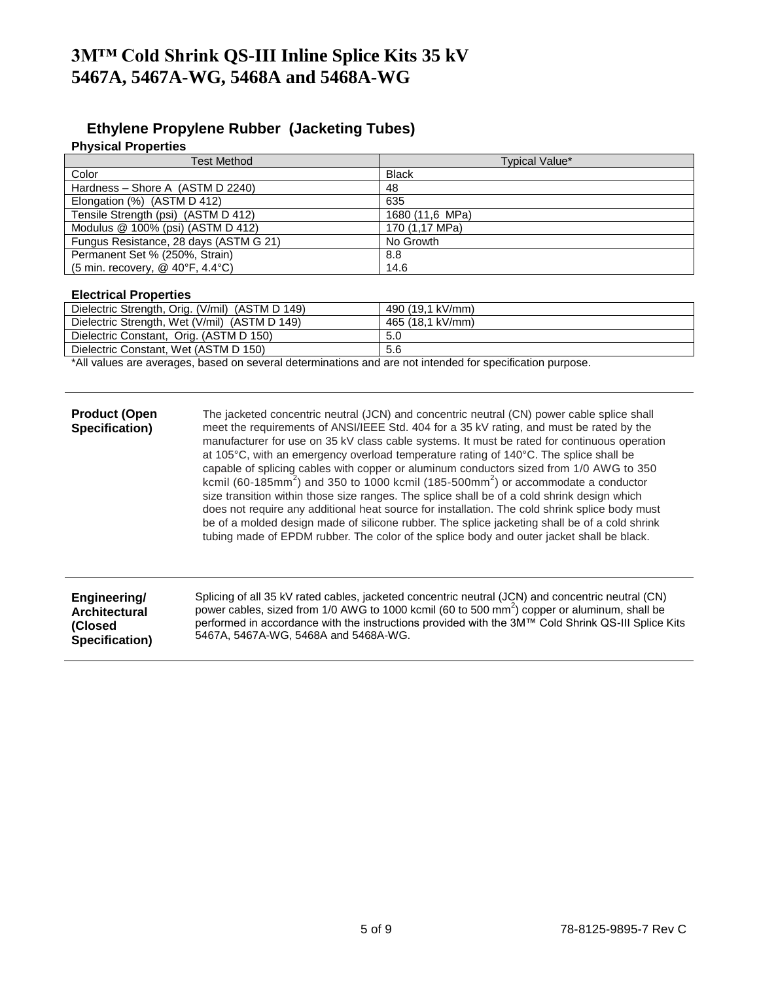#### **Ethylene Propylene Rubber (Jacketing Tubes)**

#### **Physical Properties**

| <b>Test Method</b>                     | Typical Value*  |
|----------------------------------------|-----------------|
| Color                                  | <b>Black</b>    |
| Hardness - Shore A (ASTM D 2240)       | 48              |
| Elongation (%) (ASTM D 412)            | 635             |
| Tensile Strength (psi) (ASTM D 412)    | 1680 (11,6 MPa) |
| Modulus $@$ 100% (psi) (ASTM D 412)    | 170 (1,17 MPa)  |
| Fungus Resistance, 28 days (ASTM G 21) | No Growth       |
| Permanent Set % (250%, Strain)         | 8.8             |
| (5 min. recovery, @ 40°F, 4.4°C)       | 14.6            |

#### **Electrical Properties**

**Specification)**

| Dielectric Strength, Orig. (V/mil) (ASTM D 149) | 490 (19.1 kV/mm) |
|-------------------------------------------------|------------------|
| Dielectric Strength, Wet (V/mil) (ASTM D 149)   | 465 (18.1 kV/mm) |
| Dielectric Constant, Orig. (ASTM D 150)         | 5.0              |
| Dielectric Constant, Wet (ASTM D 150)           | 5.6              |

\*All values are averages, based on several determinations and are not intended for specification purpose.

**Product (Open** The jacketed concentric neutral (JCN) and concentric neutral (CN) power cable splice shall meet the requirements of ANSI/IEEE Std. 404 for a 35 kV rating, and must be rated by the manufacturer for use on 35 kV class cable systems. It must be rated for continuous operation at 105°C, with an emergency overload temperature rating of 140°C. The splice shall be capable of splicing cables with copper or aluminum conductors sized from 1/0 AWG to 350 kcmil (60-185mm<sup>2</sup>) and 350 to 1000 kcmil (185-500mm<sup>2</sup>) or accommodate a conductor size transition within those size ranges. The splice shall be of a cold shrink design which does not require any additional heat source for installation. The cold shrink splice body must be of a molded design made of silicone rubber. The splice jacketing shall be of a cold shrink tubing made of EPDM rubber. The color of the splice body and outer jacket shall be black.

| Engineering/         | Splicing of all 35 kV rated cables, jacketed concentric neutral (JCN) and concentric neutral (CN)        |
|----------------------|----------------------------------------------------------------------------------------------------------|
| <b>Architectural</b> | power cables, sized from 1/0 AWG to 1000 kcmil (60 to 500 mm <sup>2</sup> ) copper or aluminum, shall be |
| (Closed)             | performed in accordance with the instructions provided with the 3M™ Cold Shrink QS-III Splice Kits       |
| Specification)       | 5467A, 5467A-WG, 5468A and 5468A-WG.                                                                     |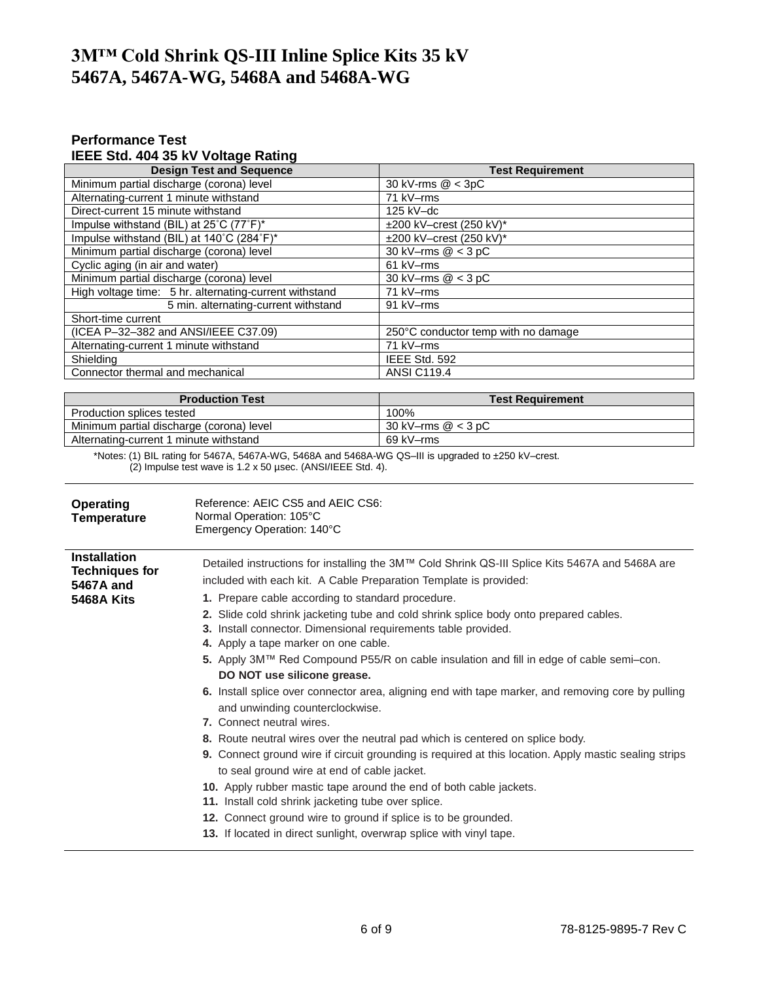#### **Performance Test IEEE Std. 404 35 kV Voltage Rating**

| <b>Design Test and Sequence</b>                        | <b>Test Requirement</b>             |  |
|--------------------------------------------------------|-------------------------------------|--|
| Minimum partial discharge (corona) level               | 30 kV-rms @ < 3pC                   |  |
| Alternating-current 1 minute withstand                 | 71 kV-rms                           |  |
| Direct-current 15 minute withstand                     | $125$ kV-dc                         |  |
| Impulse withstand (BIL) at 25°C (77°F)*                | ±200 kV-crest (250 kV)*             |  |
| Impulse withstand (BIL) at 140°C (284°F)*              | $\pm 200$ kV-crest (250 kV)*        |  |
| Minimum partial discharge (corona) level               | 30 kV-rms $@ < 3 pC$                |  |
| Cyclic aging (in air and water)                        | 61 kV-rms                           |  |
| Minimum partial discharge (corona) level               | 30 kV-rms $@ < 3 pC$                |  |
| High voltage time: 5 hr. alternating-current withstand | 71 kV-rms                           |  |
| 5 min. alternating-current withstand                   | 91 kV-rms                           |  |
| Short-time current                                     |                                     |  |
| (ICEA P-32-382 and ANSI/IEEE C37.09)                   | 250°C conductor temp with no damage |  |
| Alternating-current 1 minute withstand                 | 71 kV-rms                           |  |
| Shielding                                              | IEEE Std. 592                       |  |
| Connector thermal and mechanical                       | <b>ANSI C119.4</b>                  |  |

| <b>Production Test</b>                   | <b>Test Requirement</b> |
|------------------------------------------|-------------------------|
| Production splices tested                | 100%                    |
| Minimum partial discharge (corona) level | 30 kV–rms $@ < 3$ pC    |
| Alternating-current 1 minute withstand   | 69 kV–rms               |

\*Notes: (1) BIL rating for 5467A, 5467A-WG, 5468A and 5468A-WG QS–III is upgraded to ±250 kV–crest. (2) Impulse test wave is 1.2 x 50 µsec. (ANSI/IEEE Std. 4).

| Operating<br><b>Temperature</b>                                         | Reference: AEIC CS5 and AEIC CS6:<br>Normal Operation: 105°C<br>Emergency Operation: 140°C                                                                                                                                                                                                                                                                                                                                                                                                                                                                                                                                                                                                                                                                                                                                                                                                                                                                                                                                                         |
|-------------------------------------------------------------------------|----------------------------------------------------------------------------------------------------------------------------------------------------------------------------------------------------------------------------------------------------------------------------------------------------------------------------------------------------------------------------------------------------------------------------------------------------------------------------------------------------------------------------------------------------------------------------------------------------------------------------------------------------------------------------------------------------------------------------------------------------------------------------------------------------------------------------------------------------------------------------------------------------------------------------------------------------------------------------------------------------------------------------------------------------|
| <b>Installation</b><br><b>Techniques for</b><br>5467A and<br>5468A Kits | Detailed instructions for installing the 3M™ Cold Shrink QS-III Splice Kits 5467A and 5468A are<br>included with each kit. A Cable Preparation Template is provided:<br>1. Prepare cable according to standard procedure.<br>2. Slide cold shrink jacketing tube and cold shrink splice body onto prepared cables.<br>3. Install connector. Dimensional requirements table provided.<br>4. Apply a tape marker on one cable.<br>5. Apply 3M™ Red Compound P55/R on cable insulation and fill in edge of cable semi–con.<br>DO NOT use silicone grease.<br>6. Install splice over connector area, aligning end with tape marker, and removing core by pulling<br>and unwinding counterclockwise.<br>7. Connect neutral wires.<br>8. Route neutral wires over the neutral pad which is centered on splice body.<br><b>9.</b> Connect ground wire if circuit grounding is required at this location. Apply mastic sealing strips<br>to seal ground wire at end of cable jacket.<br>10. Apply rubber mastic tape around the end of both cable jackets. |
|                                                                         | 11. Install cold shrink jacketing tube over splice.<br>12. Connect ground wire to ground if splice is to be grounded.<br>13. If located in direct sunlight, overwrap splice with vinyl tape.                                                                                                                                                                                                                                                                                                                                                                                                                                                                                                                                                                                                                                                                                                                                                                                                                                                       |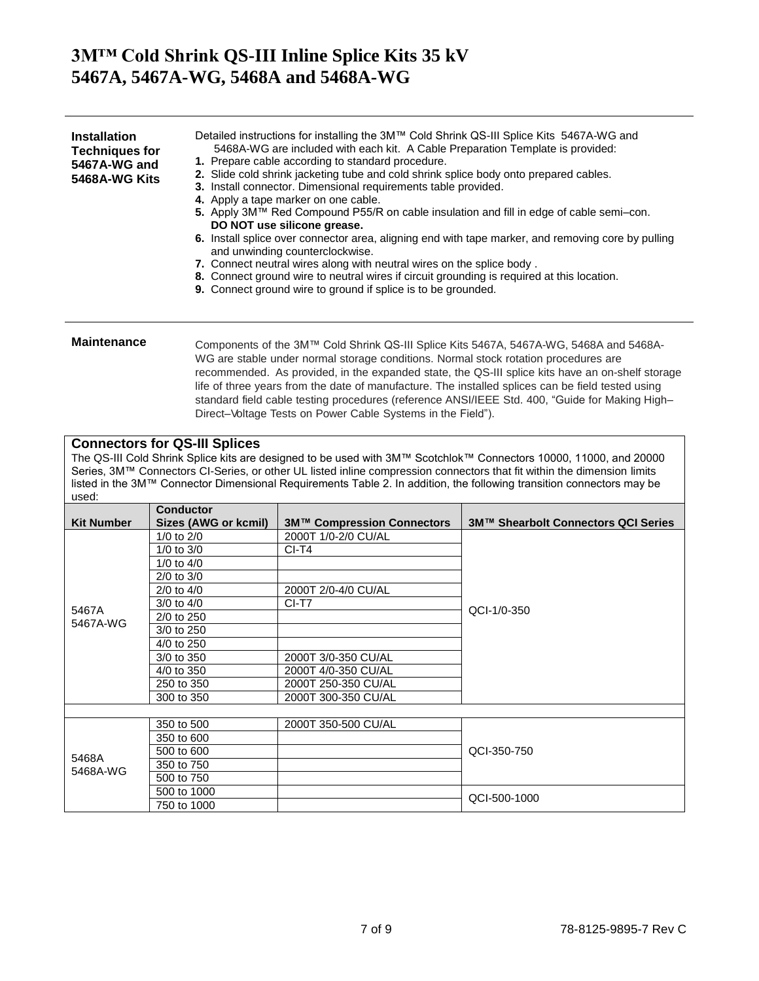| <b>Installation</b><br><b>Techniques for</b><br>5467A-WG and<br>5468A-WG Kits | Detailed instructions for installing the 3M™ Cold Shrink QS-III Splice Kits 5467A-WG and<br>5468A-WG are included with each kit. A Cable Preparation Template is provided:<br>1. Prepare cable according to standard procedure.<br>2. Slide cold shrink jacketing tube and cold shrink splice body onto prepared cables.<br>3. Install connector. Dimensional requirements table provided.<br>4. Apply a tape marker on one cable.<br>5. Apply 3M™ Red Compound P55/R on cable insulation and fill in edge of cable semi–con.<br>DO NOT use silicone grease.<br>6. Install splice over connector area, aligning end with tape marker, and removing core by pulling<br>and unwinding counterclockwise.<br>7. Connect neutral wires along with neutral wires on the splice body.<br>8. Connect ground wire to neutral wires if circuit grounding is required at this location.<br>9. Connect ground wire to ground if splice is to be grounded. |
|-------------------------------------------------------------------------------|-----------------------------------------------------------------------------------------------------------------------------------------------------------------------------------------------------------------------------------------------------------------------------------------------------------------------------------------------------------------------------------------------------------------------------------------------------------------------------------------------------------------------------------------------------------------------------------------------------------------------------------------------------------------------------------------------------------------------------------------------------------------------------------------------------------------------------------------------------------------------------------------------------------------------------------------------|
|                                                                               |                                                                                                                                                                                                                                                                                                                                                                                                                                                                                                                                                                                                                                                                                                                                                                                                                                                                                                                                               |

**Maintenance** Components of the 3M™ Cold Shrink QS-III Splice Kits 5467A, 5467A-WG, 5468A and 5468A-WG are stable under normal storage conditions. Normal stock rotation procedures are recommended. As provided, in the expanded state, the QS-III splice kits have an on-shelf storage life of three years from the date of manufacture. The installed splices can be field tested using standard field cable testing procedures (reference ANSI/IEEE Std. 400, "Guide for Making High– Direct–Voltage Tests on Power Cable Systems in the Field").

#### **Connectors for QS-III Splices**

The QS-III Cold Shrink Splice kits are designed to be used with 3M™ Scotchlok™ Connectors 10000, 11000, and 20000 Series, 3M™ Connectors CI-Series, or other UL listed inline compression connectors that fit within the dimension limits listed in the 3M™ Connector Dimensional Requirements Table 2. In addition, the following transition connectors may be used:

|                   | <b>Conductor</b>     |                            |                                     |  |
|-------------------|----------------------|----------------------------|-------------------------------------|--|
| <b>Kit Number</b> | Sizes (AWG or kcmil) | 3M™ Compression Connectors | 3M™ Shearbolt Connectors QCI Series |  |
|                   | 1/0 to $2/0$         | 2000T 1/0-2/0 CU/AL        |                                     |  |
|                   | $1/0$ to $3/0$       | $CI-T4$                    |                                     |  |
|                   | 1/0 to $4/0$         |                            |                                     |  |
|                   | $2/0$ to $3/0$       |                            |                                     |  |
|                   | $2/0$ to $4/0$       | 2000T 2/0-4/0 CU/AL        |                                     |  |
|                   | $3/0$ to $4/0$       | CI-T7                      | QCI-1/0-350                         |  |
| 5467A<br>5467A-WG | 2/0 to 250           |                            |                                     |  |
|                   | 3/0 to 250           |                            |                                     |  |
|                   | 4/0 to 250           |                            |                                     |  |
|                   | 3/0 to 350           | 2000T 3/0-350 CU/AL        |                                     |  |
|                   | 4/0 to 350           | 2000T 4/0-350 CU/AL        |                                     |  |
|                   | 250 to 350           | 2000T 250-350 CU/AL        |                                     |  |
|                   | 300 to 350           | 2000T 300-350 CU/AL        |                                     |  |
|                   |                      |                            |                                     |  |
|                   | 350 to 500           | 2000T 350-500 CU/AL        |                                     |  |
| 5468A<br>5468A-WG | 350 to 600           |                            |                                     |  |
|                   | 500 to 600           |                            | QCI-350-750                         |  |
|                   | 350 to 750           |                            |                                     |  |
|                   | 500 to 750           |                            |                                     |  |
|                   | 500 to 1000          |                            | QCI-500-1000                        |  |
|                   | 750 to 1000          |                            |                                     |  |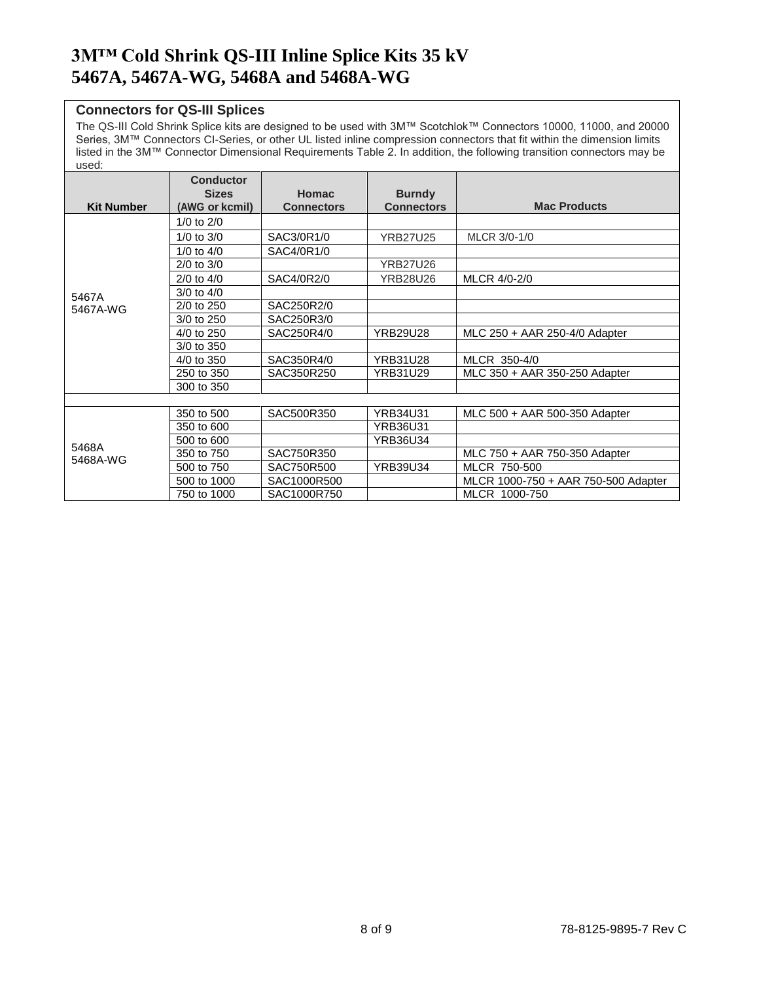#### **Connectors for QS-III Splices**

The QS-III Cold Shrink Splice kits are designed to be used with 3M™ Scotchlok™ Connectors 10000, 11000, and 20000 Series, 3M™ Connectors CI-Series, or other UL listed inline compression connectors that fit within the dimension limits listed in the 3M™ Connector Dimensional Requirements Table 2. In addition, the following transition connectors may be used:

|                   | <b>Conductor</b>               |                                   |                                    |                                     |
|-------------------|--------------------------------|-----------------------------------|------------------------------------|-------------------------------------|
| <b>Kit Number</b> | <b>Sizes</b><br>(AWG or kcmil) | <b>Homac</b><br><b>Connectors</b> | <b>Burndy</b><br><b>Connectors</b> | <b>Mac Products</b>                 |
|                   | $1/0$ to $2/0$                 |                                   |                                    |                                     |
|                   | $1/0$ to $3/0$                 | SAC3/0R1/0                        | <b>YRB27U25</b>                    | MLCR 3/0-1/0                        |
|                   | $1/0$ to $4/0$                 | SAC4/0R1/0                        |                                    |                                     |
|                   | $2/0$ to $3/0$                 |                                   | <b>YRB27U26</b>                    |                                     |
|                   | $2/0$ to $4/0$                 | SAC4/0R2/0                        | <b>YRB28U26</b>                    | MLCR 4/0-2/0                        |
| 5467A             | $3/0$ to $4/0$                 |                                   |                                    |                                     |
| 5467A-WG          | 2/0 to 250                     | SAC250R2/0                        |                                    |                                     |
|                   | 3/0 to 250                     | SAC250R3/0                        |                                    |                                     |
|                   | 4/0 to 250                     | SAC250R4/0                        | <b>YRB29U28</b>                    | MLC 250 + AAR 250-4/0 Adapter       |
|                   | 3/0 to 350                     |                                   |                                    |                                     |
|                   | 4/0 to 350                     | SAC350R4/0                        | <b>YRB31U28</b>                    | MLCR 350-4/0                        |
|                   | 250 to 350                     | SAC350R250                        | YRB31U29                           | MLC 350 + AAR 350-250 Adapter       |
|                   | 300 to 350                     |                                   |                                    |                                     |
|                   |                                |                                   |                                    |                                     |
| 5468A<br>5468A-WG | 350 to 500                     | SAC500R350                        | <b>YRB34U31</b>                    | MLC 500 + AAR 500-350 Adapter       |
|                   | 350 to 600                     |                                   | <b>YRB36U31</b>                    |                                     |
|                   | 500 to 600                     |                                   | <b>YRB36U34</b>                    |                                     |
|                   | 350 to 750                     | SAC750R350                        |                                    | MLC 750 + AAR 750-350 Adapter       |
|                   | 500 to 750                     | SAC750R500                        | <b>YRB39U34</b>                    | MLCR 750-500                        |
|                   | 500 to 1000                    | SAC1000R500                       |                                    | MLCR 1000-750 + AAR 750-500 Adapter |
|                   | 750 to 1000                    | SAC1000R750                       |                                    | MLCR 1000-750                       |